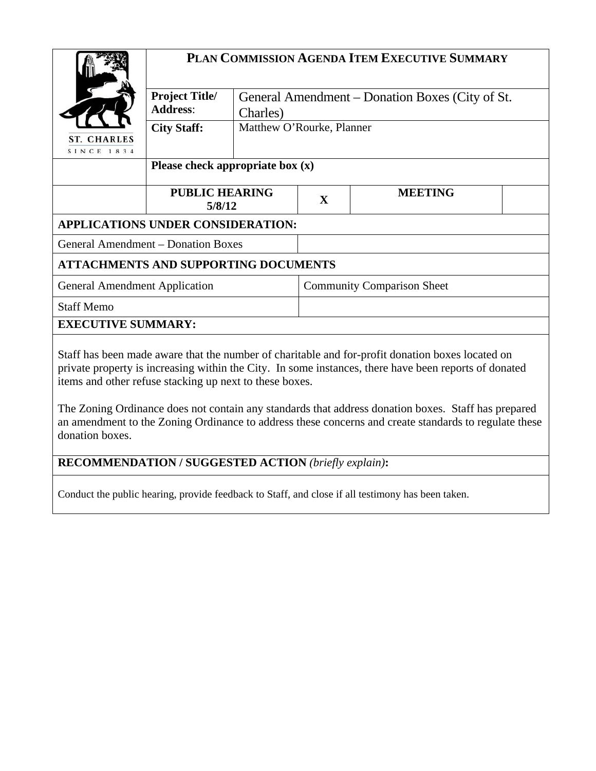|                                                                                                                 | PLAN COMMISSION AGENDA ITEM EXECUTIVE SUMMARY |                                                             |                                   |                |  |  |  |
|-----------------------------------------------------------------------------------------------------------------|-----------------------------------------------|-------------------------------------------------------------|-----------------------------------|----------------|--|--|--|
|                                                                                                                 | <b>Project Title/</b><br><b>Address:</b>      | General Amendment – Donation Boxes (City of St.<br>Charles) |                                   |                |  |  |  |
| Matthew O'Rourke, Planner<br><b>City Staff:</b><br><b>ST. CHARLES</b><br>SINCE 1834                             |                                               |                                                             |                                   |                |  |  |  |
|                                                                                                                 | Please check appropriate box $(x)$            |                                                             |                                   |                |  |  |  |
|                                                                                                                 | <b>PUBLIC HEARING</b><br>5/8/12               |                                                             | $\mathbf{X}$                      | <b>MEETING</b> |  |  |  |
| <b>APPLICATIONS UNDER CONSIDERATION:</b>                                                                        |                                               |                                                             |                                   |                |  |  |  |
| <b>General Amendment – Donation Boxes</b>                                                                       |                                               |                                                             |                                   |                |  |  |  |
| <b>ATTACHMENTS AND SUPPORTING DOCUMENTS</b>                                                                     |                                               |                                                             |                                   |                |  |  |  |
| <b>General Amendment Application</b>                                                                            |                                               |                                                             | <b>Community Comparison Sheet</b> |                |  |  |  |
| <b>Staff Memo</b>                                                                                               |                                               |                                                             |                                   |                |  |  |  |
| <b>EXECUTIVE SUMMARY:</b>                                                                                       |                                               |                                                             |                                   |                |  |  |  |
| the contract of the contract of the contract of the contract of the contract of the contract of the contract of |                                               |                                                             |                                   |                |  |  |  |

Staff has been made aware that the number of charitable and for-profit donation boxes located on private property is increasing within the City. In some instances, there have been reports of donated items and other refuse stacking up next to these boxes.

The Zoning Ordinance does not contain any standards that address donation boxes. Staff has prepared an amendment to the Zoning Ordinance to address these concerns and create standards to regulate these donation boxes.

**RECOMMENDATION / SUGGESTED ACTION** *(briefly explain)***:**

Conduct the public hearing, provide feedback to Staff, and close if all testimony has been taken.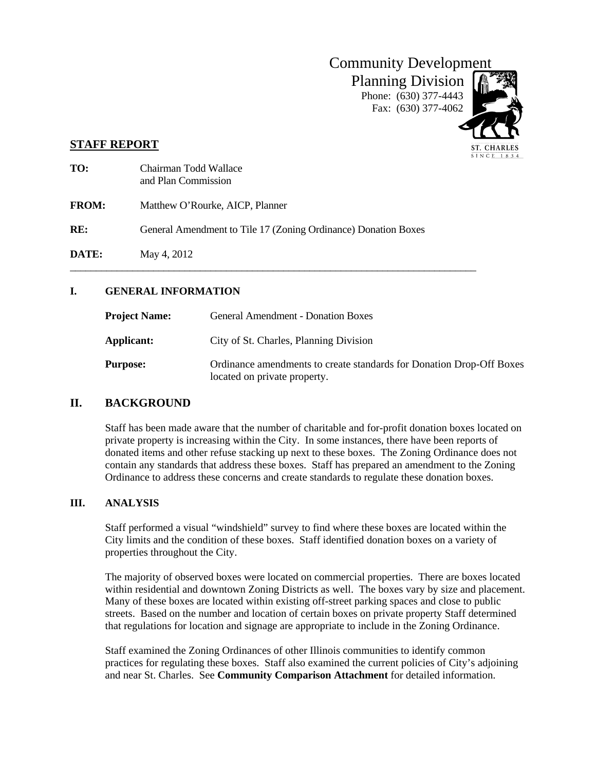

 $SINC E 1834$ 

## **STAFF REPORT**

| TO:          | Chairman Todd Wallace<br>and Plan Commission                   |
|--------------|----------------------------------------------------------------|
| <b>FROM:</b> | Matthew O'Rourke, AICP, Planner                                |
| RE:          | General Amendment to Tile 17 (Zoning Ordinance) Donation Boxes |
| <b>DATE:</b> | May 4, 2012                                                    |

## **I. GENERAL INFORMATION**

| <b>Project Name:</b> | <b>General Amendment - Donation Boxes</b>                                                            |
|----------------------|------------------------------------------------------------------------------------------------------|
| Applicant:           | City of St. Charles, Planning Division                                                               |
| <b>Purpose:</b>      | Ordinance amendments to create standards for Donation Drop-Off Boxes<br>located on private property. |

## **II. BACKGROUND**

Staff has been made aware that the number of charitable and for-profit donation boxes located on private property is increasing within the City. In some instances, there have been reports of donated items and other refuse stacking up next to these boxes. The Zoning Ordinance does not contain any standards that address these boxes. Staff has prepared an amendment to the Zoning Ordinance to address these concerns and create standards to regulate these donation boxes.

#### **III. ANALYSIS**

Staff performed a visual "windshield" survey to find where these boxes are located within the City limits and the condition of these boxes. Staff identified donation boxes on a variety of properties throughout the City.

The majority of observed boxes were located on commercial properties. There are boxes located within residential and downtown Zoning Districts as well. The boxes vary by size and placement. Many of these boxes are located within existing off-street parking spaces and close to public streets. Based on the number and location of certain boxes on private property Staff determined that regulations for location and signage are appropriate to include in the Zoning Ordinance.

Staff examined the Zoning Ordinances of other Illinois communities to identify common practices for regulating these boxes. Staff also examined the current policies of City's adjoining and near St. Charles. See **Community Comparison Attachment** for detailed information.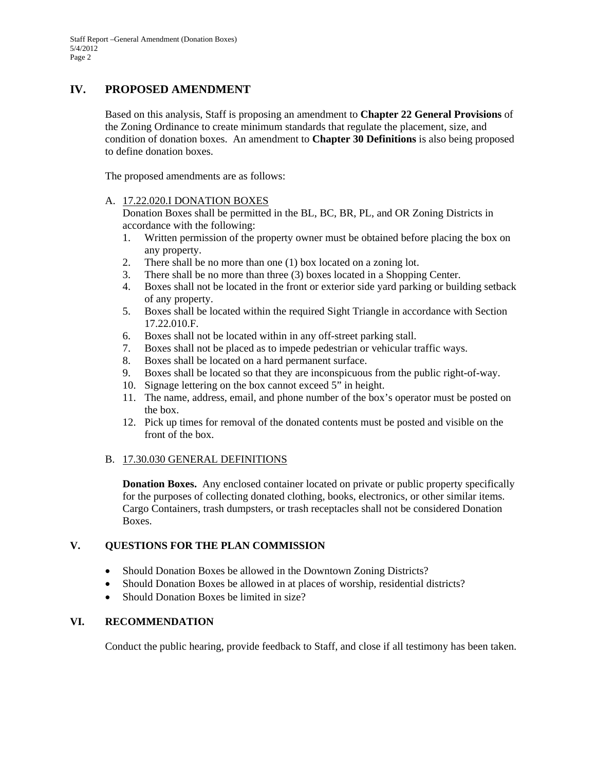## **IV. PROPOSED AMENDMENT**

Based on this analysis, Staff is proposing an amendment to **Chapter 22 General Provisions** of the Zoning Ordinance to create minimum standards that regulate the placement, size, and condition of donation boxes. An amendment to **Chapter 30 Definitions** is also being proposed to define donation boxes.

The proposed amendments are as follows:

#### A. 17.22.020.I DONATION BOXES

Donation Boxes shall be permitted in the BL, BC, BR, PL, and OR Zoning Districts in accordance with the following:

- 1. Written permission of the property owner must be obtained before placing the box on any property.
- 2. There shall be no more than one (1) box located on a zoning lot.
- 3. There shall be no more than three (3) boxes located in a Shopping Center.
- 4. Boxes shall not be located in the front or exterior side yard parking or building setback of any property.
- 5. Boxes shall be located within the required Sight Triangle in accordance with Section 17.22.010.F.
- 6. Boxes shall not be located within in any off-street parking stall.
- 7. Boxes shall not be placed as to impede pedestrian or vehicular traffic ways.
- 8. Boxes shall be located on a hard permanent surface.
- 9. Boxes shall be located so that they are inconspicuous from the public right-of-way.
- 10. Signage lettering on the box cannot exceed 5" in height.
- 11. The name, address, email, and phone number of the box's operator must be posted on the box.
- 12. Pick up times for removal of the donated contents must be posted and visible on the front of the box.

#### B. 17.30.030 GENERAL DEFINITIONS

**Donation Boxes.** Any enclosed container located on private or public property specifically for the purposes of collecting donated clothing, books, electronics, or other similar items. Cargo Containers, trash dumpsters, or trash receptacles shall not be considered Donation Boxes.

#### **V. QUESTIONS FOR THE PLAN COMMISSION**

- Should Donation Boxes be allowed in the Downtown Zoning Districts?
- Should Donation Boxes be allowed in at places of worship, residential districts?
- Should Donation Boxes be limited in size?

## **VI. RECOMMENDATION**

Conduct the public hearing, provide feedback to Staff, and close if all testimony has been taken.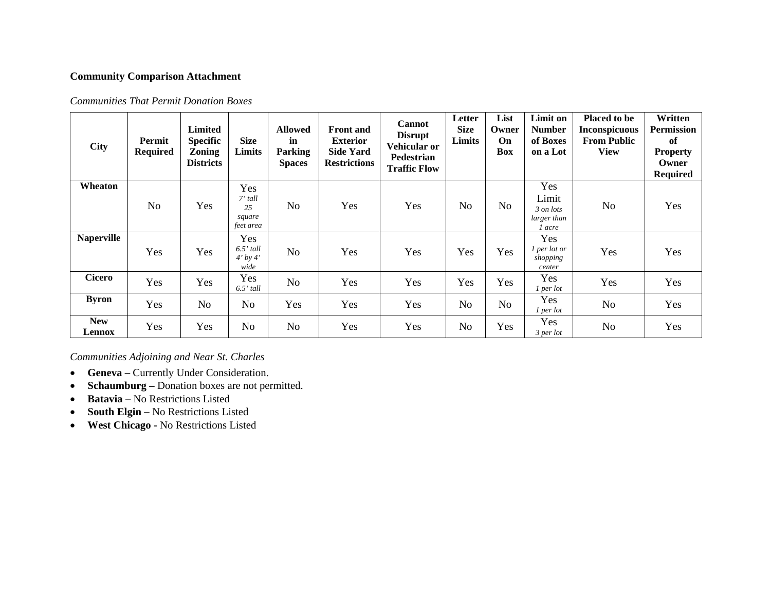### **Community Comparison Attachment**

| <b>Communities That Permit Donation Boxes</b> |  |  |
|-----------------------------------------------|--|--|
|                                               |  |  |

| <b>City</b>          | Permit<br><b>Required</b> | <b>Limited</b><br><b>Specific</b><br><b>Zoning</b><br><b>Districts</b> | <b>Size</b><br>Limits                         | <b>Allowed</b><br>in<br><b>Parking</b><br><b>Spaces</b> | <b>Front</b> and<br><b>Exterior</b><br><b>Side Yard</b><br><b>Restrictions</b> | <b>Cannot</b><br><b>Disrupt</b><br>Vehicular or<br>Pedestrian<br><b>Traffic Flow</b> | Letter<br><b>Size</b><br>Limits | List<br>Owner<br><b>On</b><br><b>Box</b> | Limit on<br><b>Number</b><br>of Boxes<br>on a Lot  | <b>Placed to be</b><br><b>Inconspicuous</b><br><b>From Public</b><br><b>View</b> | Written<br><b>Permission</b><br>of<br><b>Property</b><br>Owner<br><b>Required</b> |
|----------------------|---------------------------|------------------------------------------------------------------------|-----------------------------------------------|---------------------------------------------------------|--------------------------------------------------------------------------------|--------------------------------------------------------------------------------------|---------------------------------|------------------------------------------|----------------------------------------------------|----------------------------------------------------------------------------------|-----------------------------------------------------------------------------------|
| Wheaton              | N <sub>o</sub>            | Yes                                                                    | Yes<br>$7'$ tall<br>25<br>square<br>feet area | N <sub>0</sub>                                          | Yes                                                                            | Yes                                                                                  | N <sub>o</sub>                  | N <sub>o</sub>                           | Yes<br>Limit<br>3 on lots<br>larger than<br>l acre | No                                                                               | Yes                                                                               |
| <b>Naperville</b>    | Yes                       | Yes                                                                    | Yes<br>$6.5'$ tall<br>$4'$ by $4'$<br>wide    | No                                                      | Yes                                                                            | Yes                                                                                  | Yes                             | Yes                                      | Yes<br>1 per lot or<br>shopping<br>center          | Yes                                                                              | Yes                                                                               |
| <b>Cicero</b>        | Yes                       | Yes                                                                    | Yes<br>$6.5'$ tall                            | N <sub>o</sub>                                          | Yes                                                                            | Yes                                                                                  | Yes                             | Yes                                      | <b>Yes</b><br>$1$ per lot                          | Yes                                                                              | Yes                                                                               |
| <b>Byron</b>         | Yes                       | No                                                                     | N <sub>o</sub>                                | Yes                                                     | Yes                                                                            | Yes                                                                                  | N <sub>o</sub>                  | No                                       | <b>Yes</b><br>$1$ per lot                          | No                                                                               | Yes                                                                               |
| <b>New</b><br>Lennox | Yes                       | Yes                                                                    | N <sub>o</sub>                                | N <sub>o</sub>                                          | Yes                                                                            | Yes                                                                                  | N <sub>o</sub>                  | Yes                                      | Yes<br>$3$ per lot                                 | No                                                                               | Yes                                                                               |

*Communities Adjoining and Near St. Charles* 

- **Geneva** Currently Under Consideration.
- $\bullet$ **Schaumburg –** Donation boxes are not permitted.
- •**Batavia –** No Restrictions Listed
- •**South Elgin –** No Restrictions Listed
- **West Chicago -** No Restrictions Listed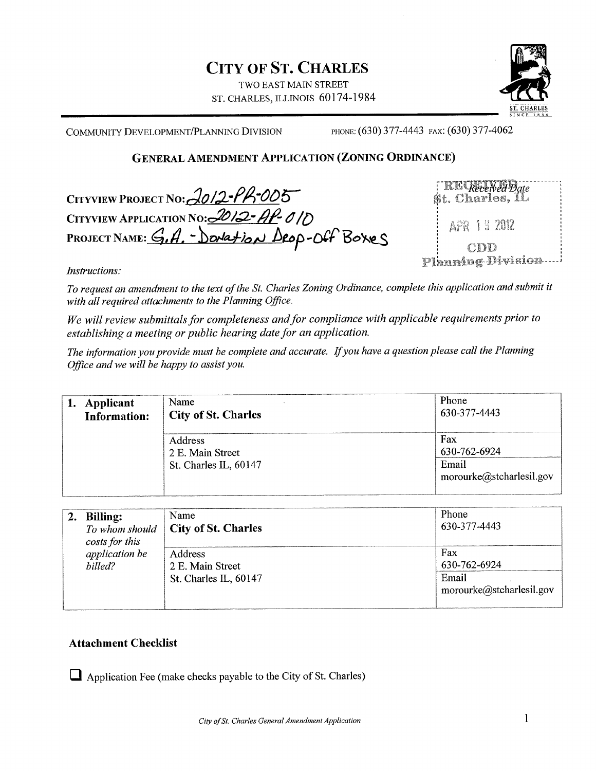# **CITY OF ST. CHARLES**

TWO EAST MAIN STREET ST. CHARLES, ILLINOIS 60174-1984



COMMUNITY DEVELOPMENT/PLANNING DIVISION

PHONE: (630) 377-4443 FAX: (630) 377-4062

# **GENERAL AMENDMENT APPLICATION (ZONING ORDINANCE)**

CITYVIEW PROJECT NO: 2012-PR-005 CITYVIEW APPLICATION No: 2012-AP-010<br>PROJECT NAME: G.A. - Domation Deop-Off Boxes

| $\lceil$ RE Received Date<br>$\mathfrak{St.}$ Charles, $\mathbf I\mathbf L$ |
|-----------------------------------------------------------------------------|
| APR 19 2012                                                                 |
| CDD<br>Planning-Division                                                    |

Instructions:

To request an amendment to the text of the St. Charles Zoning Ordinance, complete this application and submit it with all required attachments to the Planning Office.

We will review submittals for completeness and for compliance with applicable requirements prior to establishing a meeting or public hearing date for an application.

The information you provide must be complete and accurate. If you have a question please call the Planning Office and we will be happy to assist you.

| Applicant<br><b>Information:</b> | Name<br><b>City of St. Charles</b> | Phone<br>630-377-4443             |
|----------------------------------|------------------------------------|-----------------------------------|
|                                  | Address<br>2 E. Main Street        | Fax<br>630-762-6924               |
|                                  | St. Charles IL, 60147              | Email<br>morourke@stcharlesil.gov |

| <b>Billing:</b> | To whom should | Name                                                 | Phone                                                    |
|-----------------|----------------|------------------------------------------------------|----------------------------------------------------------|
| costs for this  |                | City of St. Charles                                  | 630-377-4443                                             |
| billed?         | application be | Address<br>2 E. Main Street<br>St. Charles IL, 60147 | Fax<br>630-762-6924<br>Email<br>morourke@stcharlesil.gov |

# **Attachment Checklist**

 $\Box$  Application Fee (make checks payable to the City of St. Charles)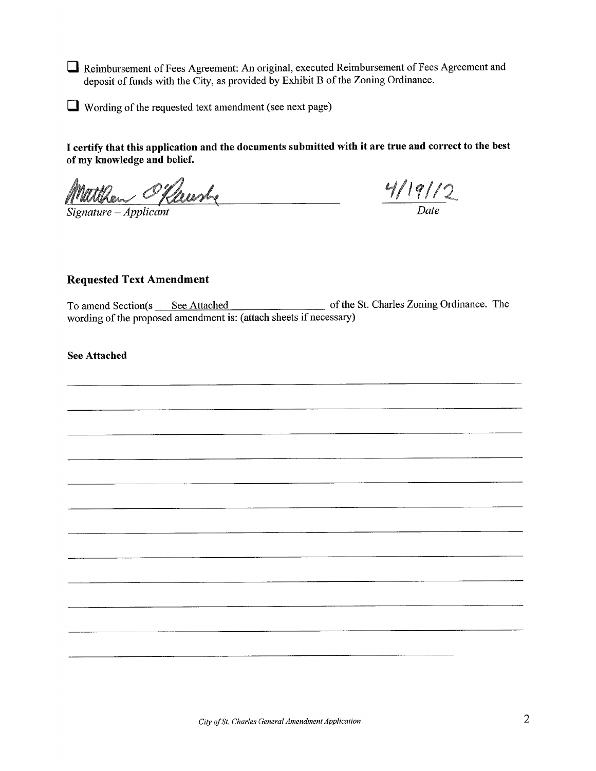Reimbursement of Fees Agreement: An original, executed Reimbursement of Fees Agreement and deposit of funds with the City, as provided by Exhibit B of the Zoning Ordinance.

 $\Box$  Wording of the requested text amendment (see next page)

I certify that this application and the documents submitted with it are true and correct to the best of my knowledge and belief.

Matthew Offenshe 

 $\frac{4/19/12}{Date}$ 

## **Requested Text Amendment**

wording of the proposed amendment is: (attach sheets if necessary)

**See Attached**